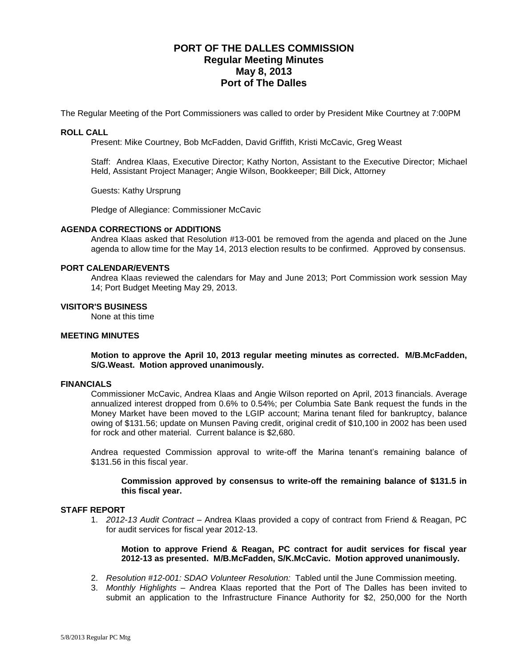# **PORT OF THE DALLES COMMISSION Regular Meeting Minutes May 8, 2013 Port of The Dalles**

The Regular Meeting of the Port Commissioners was called to order by President Mike Courtney at 7:00PM

#### **ROLL CALL**

Present: Mike Courtney, Bob McFadden, David Griffith, Kristi McCavic, Greg Weast

Staff: Andrea Klaas, Executive Director; Kathy Norton, Assistant to the Executive Director; Michael Held, Assistant Project Manager; Angie Wilson, Bookkeeper; Bill Dick, Attorney

Guests: Kathy Ursprung

Pledge of Allegiance: Commissioner McCavic

#### **AGENDA CORRECTIONS or ADDITIONS**

Andrea Klaas asked that Resolution #13-001 be removed from the agenda and placed on the June agenda to allow time for the May 14, 2013 election results to be confirmed. Approved by consensus.

#### **PORT CALENDAR/EVENTS**

Andrea Klaas reviewed the calendars for May and June 2013; Port Commission work session May 14; Port Budget Meeting May 29, 2013.

#### **VISITOR'S BUSINESS**

None at this time

#### **MEETING MINUTES**

**Motion to approve the April 10, 2013 regular meeting minutes as corrected. M/B.McFadden, S/G.Weast. Motion approved unanimously.**

#### **FINANCIALS**

Commissioner McCavic, Andrea Klaas and Angie Wilson reported on April, 2013 financials. Average annualized interest dropped from 0.6% to 0.54%; per Columbia Sate Bank request the funds in the Money Market have been moved to the LGIP account; Marina tenant filed for bankruptcy, balance owing of \$131.56; update on Munsen Paving credit, original credit of \$10,100 in 2002 has been used for rock and other material. Current balance is \$2,680.

Andrea requested Commission approval to write-off the Marina tenant's remaining balance of \$131.56 in this fiscal year.

**Commission approved by consensus to write-off the remaining balance of \$131.5 in this fiscal year.**

#### **STAFF REPORT**

1. *2012-13 Audit Contract –* Andrea Klaas provided a copy of contract from Friend & Reagan, PC for audit services for fiscal year 2012-13.

**Motion to approve Friend & Reagan, PC contract for audit services for fiscal year 2012-13 as presented. M/B.McFadden, S/K.McCavic. Motion approved unanimously.**

- 2. *Resolution #12-001: SDAO Volunteer Resolution:* Tabled until the June Commission meeting.
- 3. *Monthly Highlights –* Andrea Klaas reported that the Port of The Dalles has been invited to submit an application to the Infrastructure Finance Authority for \$2, 250,000 for the North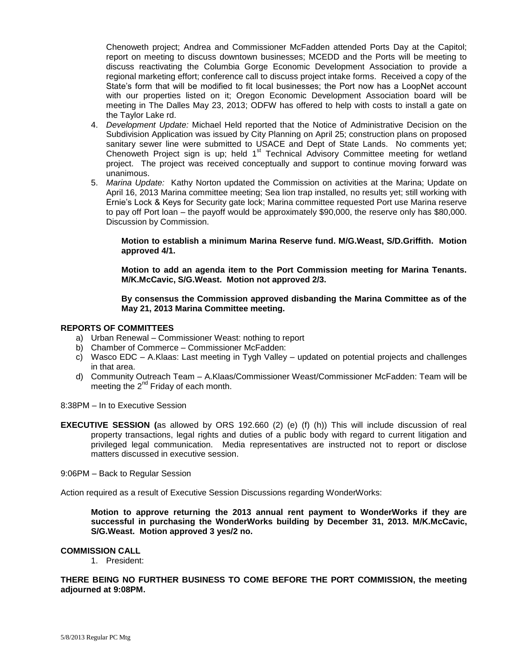Chenoweth project; Andrea and Commissioner McFadden attended Ports Day at the Capitol; report on meeting to discuss downtown businesses; MCEDD and the Ports will be meeting to discuss reactivating the Columbia Gorge Economic Development Association to provide a regional marketing effort; conference call to discuss project intake forms. Received a copy of the State's form that will be modified to fit local businesses; the Port now has a LoopNet account with our properties listed on it; Oregon Economic Development Association board will be meeting in The Dalles May 23, 2013; ODFW has offered to help with costs to install a gate on the Taylor Lake rd.

- 4. *Development Update:* Michael Held reported that the Notice of Administrative Decision on the Subdivision Application was issued by City Planning on April 25; construction plans on proposed sanitary sewer line were submitted to USACE and Dept of State Lands. No comments yet; Chenoweth Project sign is up; held 1<sup>st</sup> Technical Advisory Committee meeting for wetland project. The project was received conceptually and support to continue moving forward was unanimous.
- 5. *Marina Update:* Kathy Norton updated the Commission on activities at the Marina; Update on April 16, 2013 Marina committee meeting; Sea lion trap installed, no results yet; still working with Ernie's Lock & Keys for Security gate lock; Marina committee requested Port use Marina reserve to pay off Port loan – the payoff would be approximately \$90,000, the reserve only has \$80,000. Discussion by Commission.

**Motion to establish a minimum Marina Reserve fund. M/G.Weast, S/D.Griffith. Motion approved 4/1.**

**Motion to add an agenda item to the Port Commission meeting for Marina Tenants. M/K.McCavic, S/G.Weast. Motion not approved 2/3.**

**By consensus the Commission approved disbanding the Marina Committee as of the May 21, 2013 Marina Committee meeting.**

### **REPORTS OF COMMITTEES**

- a) Urban Renewal Commissioner Weast: nothing to report
- b) Chamber of Commerce Commissioner McFadden:
- c) Wasco EDC A.Klaas: Last meeting in Tygh Valley updated on potential projects and challenges in that area.
- d) Community Outreach Team A.Klaas/Commissioner Weast/Commissioner McFadden: Team will be meeting the  $2^{nd}$  Friday of each month.

8:38PM – In to Executive Session

**EXECUTIVE SESSION (**as allowed by ORS 192.660 (2) (e) (f) (h)) This will include discussion of real property transactions, legal rights and duties of a public body with regard to current litigation and privileged legal communication. Media representatives are instructed not to report or disclose matters discussed in executive session.

9:06PM – Back to Regular Session

Action required as a result of Executive Session Discussions regarding WonderWorks:

**Motion to approve returning the 2013 annual rent payment to WonderWorks if they are successful in purchasing the WonderWorks building by December 31, 2013. M/K.McCavic, S/G.Weast. Motion approved 3 yes/2 no.**

#### **COMMISSION CALL**

1. President:

**THERE BEING NO FURTHER BUSINESS TO COME BEFORE THE PORT COMMISSION, the meeting adjourned at 9:08PM.**